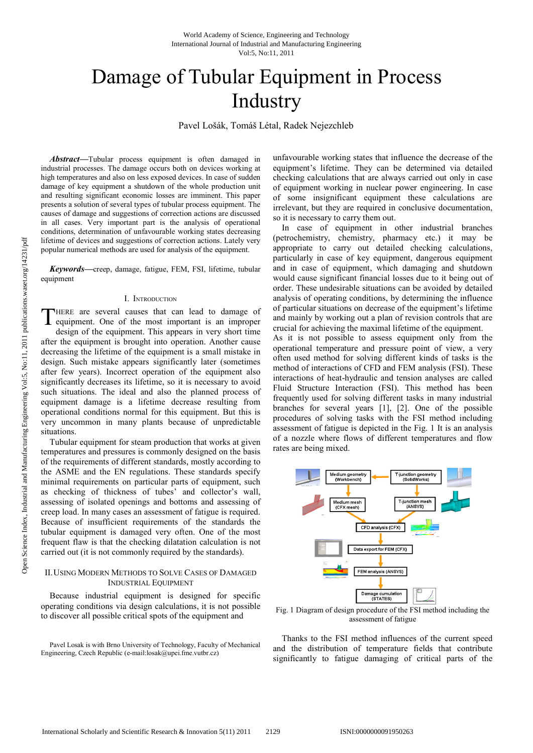# Damage of Tubular Equipment in Process Industry

Pavel L Lošák, Tomáš Létal, Radek Nejezchleb

*Abstract***—**Tubular process equipment is often damaged in industrial processes. The damage occurs both on devices working at high temperatures and also on less exposed devices. In case of sudden damage of key equipment a shutdown of the whole production unit and resulting significant economic losses are imminent. This paper presents a solution of several types of tubular process equipment. The causes of damage and suggestions of correction actions are discussed in all cases. Very important part is the analysis of operational conditions, determination of unfavourable working states decreasing lifetime of devices and suggestions of correction actions. Lately very popular numerical methods are used for analysis of the equipment. industrial processes. The damage occurs both on devices working at high temperatures and also on less exposed devices. In case of sudden damage of key equipment a shutdown of the whole production unit and resulting signifi

*Keywords***—**creep, damage, fatigue, FEM, FSI, lifetime, equipment

### I. INTRODUCTION

HERE are several causes that can lead to damage of THERE are several causes that can lead to damage of<br>equipment. One of the most important is an improper design of the equipment. This appears in very short time after the equipment is brought into operation. Another cause decreasing the lifetime of the equipment is a small mistake in design. Such mistake appears significantly later (sometimes after few years). Incorrect operation of the equipment also significantly decreases its lifetime, so it is necessary to avoid such situations. The ideal and also the planned process of equipment damage is a lifetime decrease resulting from operational conditions normal for this equipment. But this is very uncommon in many plants because of unpredictable situations. ment. One of the most important is an improper<br>in of the equipment. This appears in very short time<br>equipment is brought into operation. Another cause<br>g the lifetime of the equipment is a small mistake in<br>uch mistake appea

Tubular equipment for steam production that works at given temperatures and pressures is commonly designed on the basis of the requirements of different standards, mostly according to the ASME and the EN regulations. These standards specify minimal requirements on particular parts of equipment, such as checking of thickness of tubes' and collector's wall, assessing of isolated openings and bottoms and assessing of creep load. In many cases an assessment of fatigue is required. Because of insufficient requirements of the standards the tubular equipment is damaged very often. One of the most frequent flaw is that the checking dilatation calculation is not carried out (it is not commonly required by the standards). equipment damage is a lifetime decrease in<br>perational conditions normal for this equipme<br>very uncommon in many plants because of<br>ituations.<br>Tubular equipment for steam production that<br>emperatures and pressures is commonly

## II.USING MODERN METHODS TO SOLVE C ASES OF DAMAGED INDUSTRIAL EQUIPMENT

Because industrial equipment is designed for specific operating conditions via design calculations, it is not possible to discover all possible critical spots of the equipment and

Pavel Losak is with Brno University of Technology, Faculty of Mechanical Engineering, Czech Republic (e-mail:losak@upei.fme.vutbr.cz)

equipment's lifetime. They can be determined via detailed checking calculations that are always carried out only in case equipment's lifetime. They can be determined via detailed checking calculations that are always carried out only in case of equipment working in nuclear power engineering. In case of some insignificant equipment these calculations are irrelevant, but they are required in conclusive documentation, so it is necessary to carry them out. of some insignificant equipment these calculations are<br>irrelevant, but they are required in conclusive documentation,<br>so it is necessary to carry them out.<br>In case of equipment in other industrial branches

equinomic is of the damped in units would be a state when the state of the decrease of the case of scheme and state and the state of the case of the case of the state of the state of the state of the state of the state of In case of equipment in other industrial branches (petrochemistry, chemistry, pharmacy etc.) it may be appropriate to carry out detailed checking calculations, particularly in case of key equipment, dangerous equipment and in case of equipment, which damaging and shutdown would cause significant financial losses due to it being out of order. These undesirable situations can be avoided by detailed analysis of operating conditions, by determining the influence of particular situations on decrease of the equipment's lifetime and mainly by working out a plan of revision controls that are crucial for achieving the maximal lifetime of the equipment. As it is not possible to assess equipment only from the operational temperature and pressure point of view, a very often used method for solving different kinds of tasks is the method of interactions of CFD and FEM analysis (FSI). These interactions of heat-hydraulic and tension analyses are called Fluid Structure Interaction (FSI). This method has been particularly in case of key equipment, dangerous equipment<br>and in case of equipment, which damaging and shutdown<br>would cause significant financial losses due to it being out of<br>order. These undesirable situations can be av crucial for achieving the maximal lifetime of the equipment.<br>As it is not possible to assess equipment only from the<br>operational temperature and pressure point of view, a very<br>often used method for solving different kinds World Academy of Science, Engineering and Technology<br>
and Academy of Science, Engineering and Technology<br>
TUBULAT Equipment and Manufacturing Engineering of the Science of Science and Technology<br>
and Losakk, Tomáš Létal,

frequently used for solving different tasks in many industrial branches for several years [1], [2]. One of the possible procedures of solving tasks with the FSI method including assessment of fatigue is depicted in the Fig. 1 It is an analysis of a nozzle where flows of different temperatures and flow rates are being mixed.



Fig. 1 Diagram of design procedure of the FSI method including the assessment of fatigue assessment of fatigue

Thanks to the FSI method influences of the current speed and the distribution of temperature fields that contribute significantly to fatigue damaging of critical parts of the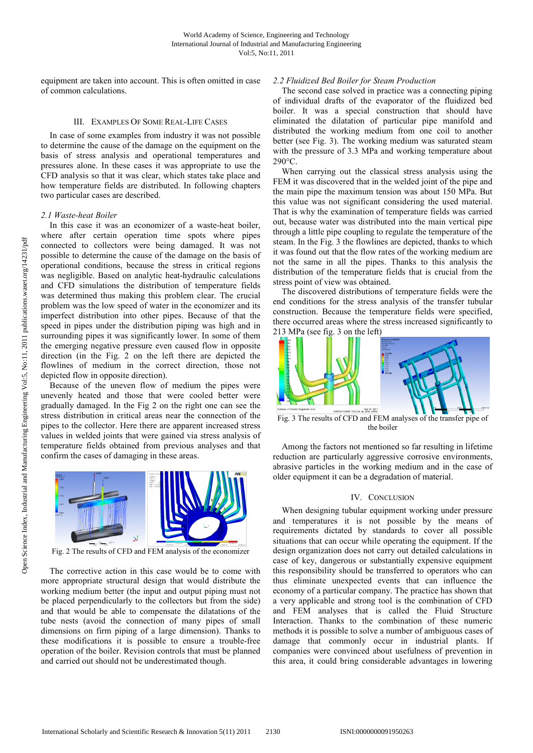equipment are taken into account. This is often omitted in case of common calculations. It are taken into account. This is often omitte<br>on calculations.<br>III. EXAMPLES OF SOME REAL-LIFE CASES

In case of some examples from industry it was not possible to determine the cause of the damage on the equipment on the basis of stress analysis and operational temperatures and pressures alone. In these cases it was appropriate to use the CFD analysis so that it was clear, which states take place and how temperature fields are distributed. In following chapters two particular cases are described. of stress analysis and operational temperatures and<br>ures alone. In these cases it was appropriate to use the<br>analysis so that it was clear, which states take place and<br>temperature fields are distributed. In following chapt

### *2.1 Waste-heat Boiler*

In this case it was an economizer of a waste-heat boiler, where after certain operation time spots where pipes connected to collectors were being damaged. It was not possible to determine the cause of the damage on the basis of possible to determine the cause of the damage on the basis of operational conditions, because the stress in critical regions was negligible. Based on analytic heat-hydraulic calculations and CFD simulations the distribution of temperature fields was determined thus making this problem clear. The crucial problem was the low speed of water in the economizer and its imperfect distribution into other pipes. Because of that the speed in pipes under the distribution piping was high and in surrounding pipes it was significantly lower. In some of them the emerging negative pressure even caused flow in opposite direction (in the Fig. 2 on the left there are depicted the flowlines of medium in the correct direction, those not depicted flow in opposite direction). ible. Based on analytic heat-hydraulic calculations simulations is distribution of temperature fields in independent of the initial as the low speed of water in the economizer and its distribution into other pipes. Because about this is often and control and control and control and control and control and control and control and control and control and control and control and control and control and control and control and control and contr

Because of the uneven flow of medium the pipes were unevenly heated and those that were cooled better were gradually damaged. In the Fig 2 on the right one can see the stress distribution in critical areas near the connection of the pipes to the collector. Here there are apparent increased stress values in welded joints that were gained via stress analysis of temperature fields obtained from previous analyses and that confirm the cases of damaging in these areas.



Fig. 2 The results of CFD and FEM analysis of the economizer

The corrective action in this case would be to come with more appropriate structural design that would distribute the working medium better (the input and output piping must not be placed perpendicularly to the collectors but from the side) and that would be able to compensate the dilatations of the tube nests (avoid the connection of many pipes of small dimensions on firm piping of a large dimension). Thanks to dimensions on firm piping of a large dimension). Thanks to these modifications it is possible to ensure a trouble-free operation of the boiler. Revision controls that must be planned and carried out should not be underestimated though.

The second case solved in practice was a connecting piping of individual drafts of the evaporator of the fluidized bed boiler. It was a special construction that should have eliminated the dilatation of particular pipe manifold and distributed the working medium from one coil to another The second case solved in practice was a connecting piping<br>of individual drafts of the evaporator of the fluidized bed<br>boiler. It was a special construction that should have<br>eliminated the dilatation of particular pipe man with the pressure of 3.3 MPa and working temperature about 290°C.

When carrying out the classical stress analysis using the FEM it was discovered that in the welded joint of the pipe and the main pipe the maximum tension was about 150 MPa. But this value was not significant considering the used material. That is why the examination of temperature fields was carried out, because water was distributed into the main vertical pipe That is why the examination of temperature fields was carried<br>out, because water was distributed into the main vertical pipe<br>through a little pipe coupling to regulate the temperature of the steam. In the Fig. 3 the flowlines are depicted, thanks to which it was found out that the flow rates of the working medium are not the same in all the pipes. Thanks to this analysis the distribution of the temperature fields that is crucial from th stress point of view was obtained. of 3.3 MPa and working temperature about<br>out the classical stress analysis using the<br>vered that in the welded joint of the pipe and<br>maximum tension was about 150 MPa. But he flowlines are depicted, thanks to which<br>the flow rates of the working medium are<br>the pipes. Thanks to this analysis the<br>mperature fields that is crucial from the

The discovered distributions of temperature fields were the end conditions for the stress analysis of the transfer tubular construction. Because the temperature fields were specified, there occurred areas where the stress increased significantly to 213 MPa (see fig. 3 on the left) ress point of view was obtained.<br>The discovered distributions of temperature fields were the<br>d conditions for the stress analysis of the transfer tubular<br>nstruction. Because the temperature fields were specified,<br>ere occur



Fig. 3 The results of CFD and FEM analyses of the transfer pipe of the boiler

Among the factors not mentioned so far far resulting in lifetime reduction are particularly aggressive corrosive environments, abrasive particles in the working medium and in the case of older equipment it can be a degradation of material.

#### IV. CONCLUSION

When designing tubular equipment working under pressure and temperatures it is not possible by the means of requirements dictated by standards to cover all possible situations that can occur while operating the equipment. If the design organization does not carry out detailed calculations in case of key, dangerous or substantially expensive equipment this responsibility should be transferred to operators who can thus eliminate unexpected events that can influence the economy of a particular company. The practice has shown that a very applicable and strong tool is the combination of CFD and FEM analyses that is called the Fluid Structure Interaction. Thanks to the combination of these numeric methods it is possible to solve a number of ambiguous cases of damage that commonly occur in industrial plants. If companies were convinced about usefulness of prevention in this area, it could bring considerable advantages in lowering older equipment it can be a degradation of material.<br>IV. CONCLUSION<br>When designing tubular equipment working under pressure<br>and temperatures it is not possible by the means of<br>requirements dictated by standards to cover al We also the solvention of the solvential of the solvential plants. The solvential beam of the solvential beam of the solvential constrained the solvential plants. The solvential constrained the solvential plants of the so